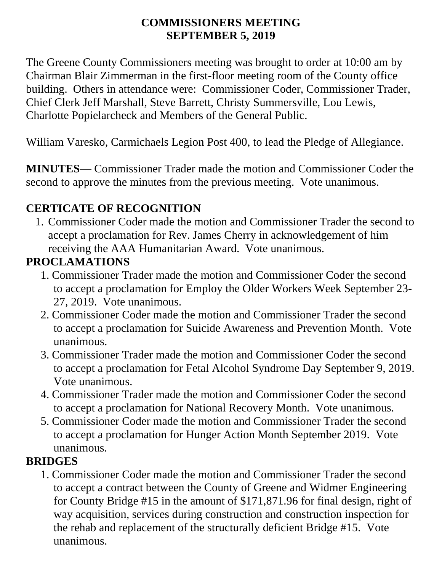#### **COMMISSIONERS MEETING SEPTEMBER 5, 2019**

The Greene County Commissioners meeting was brought to order at 10:00 am by Chairman Blair Zimmerman in the first-floor meeting room of the County office building. Others in attendance were: Commissioner Coder, Commissioner Trader, Chief Clerk Jeff Marshall, Steve Barrett, Christy Summersville, Lou Lewis, Charlotte Popielarcheck and Members of the General Public.

William Varesko, Carmichaels Legion Post 400, to lead the Pledge of Allegiance.

**MINUTES**— Commissioner Trader made the motion and Commissioner Coder the second to approve the minutes from the previous meeting. Vote unanimous.

#### **CERTICATE OF RECOGNITION**

1. Commissioner Coder made the motion and Commissioner Trader the second to accept a proclamation for Rev. James Cherry in acknowledgement of him receiving the AAA Humanitarian Award. Vote unanimous.

# **PROCLAMATIONS**

- 1. Commissioner Trader made the motion and Commissioner Coder the second to accept a proclamation for Employ the Older Workers Week September 23- 27, 2019. Vote unanimous.
- 2. Commissioner Coder made the motion and Commissioner Trader the second to accept a proclamation for Suicide Awareness and Prevention Month. Vote unanimous.
- 3. Commissioner Trader made the motion and Commissioner Coder the second to accept a proclamation for Fetal Alcohol Syndrome Day September 9, 2019. Vote unanimous.
- 4. Commissioner Trader made the motion and Commissioner Coder the second to accept a proclamation for National Recovery Month. Vote unanimous.
- 5. Commissioner Coder made the motion and Commissioner Trader the second to accept a proclamation for Hunger Action Month September 2019. Vote unanimous.

#### **BRIDGES**

1. Commissioner Coder made the motion and Commissioner Trader the second to accept a contract between the County of Greene and Widmer Engineering for County Bridge #15 in the amount of \$171,871.96 for final design, right of way acquisition, services during construction and construction inspection for the rehab and replacement of the structurally deficient Bridge #15. Vote unanimous.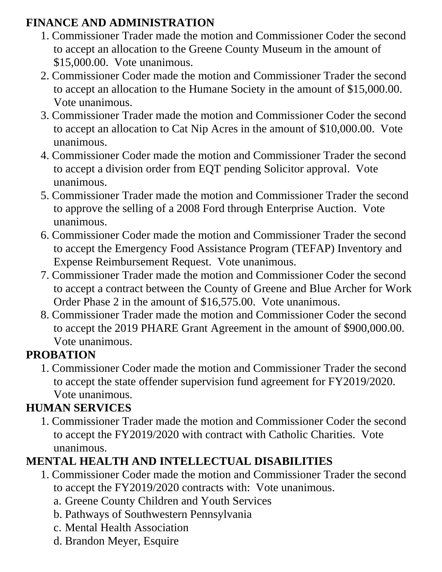## **FINANCE AND ADMINISTRATION**

- 1. Commissioner Trader made the motion and Commissioner Coder the second to accept an allocation to the Greene County Museum in the amount of \$15,000.00. Vote unanimous.
- 2. Commissioner Coder made the motion and Commissioner Trader the second to accept an allocation to the Humane Society in the amount of \$15,000.00. Vote unanimous.
- 3. Commissioner Trader made the motion and Commissioner Coder the second to accept an allocation to Cat Nip Acres in the amount of \$10,000.00. Vote unanimous.
- 4. Commissioner Coder made the motion and Commissioner Trader the second to accept a division order from EQT pending Solicitor approval. Vote unanimous.
- 5. Commissioner Trader made the motion and Commissioner Trader the second to approve the selling of a 2008 Ford through Enterprise Auction. Vote unanimous.
- 6. Commissioner Coder made the motion and Commissioner Trader the second to accept the Emergency Food Assistance Program (TEFAP) Inventory and Expense Reimbursement Request. Vote unanimous.
- 7. Commissioner Trader made the motion and Commissioner Coder the second to accept a contract between the County of Greene and Blue Archer for Work Order Phase 2 in the amount of \$16,575.00. Vote unanimous.
- 8. Commissioner Trader made the motion and Commissioner Coder the second to accept the 2019 PHARE Grant Agreement in the amount of \$900,000.00. Vote unanimous.

# **PROBATION**

1. Commissioner Coder made the motion and Commissioner Trader the second to accept the state offender supervision fund agreement for FY2019/2020. Vote unanimous.

# **HUMAN SERVICES**

1. Commissioner Trader made the motion and Commissioner Coder the second to accept the FY2019/2020 with contract with Catholic Charities. Vote unanimous.

# **MENTAL HEALTH AND INTELLECTUAL DISABILITIES**

- 1. Commissioner Coder made the motion and Commissioner Trader the second to accept the FY2019/2020 contracts with: Vote unanimous.
	- a. Greene County Children and Youth Services
	- b. Pathways of Southwestern Pennsylvania
	- c. Mental Health Association
	- d. Brandon Meyer, Esquire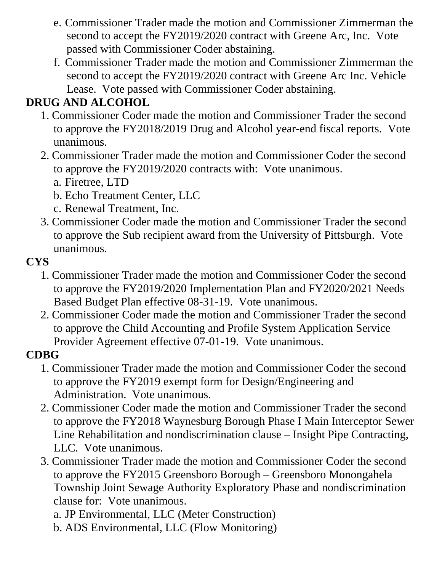- e. Commissioner Trader made the motion and Commissioner Zimmerman the second to accept the FY2019/2020 contract with Greene Arc, Inc. Vote passed with Commissioner Coder abstaining.
- f. Commissioner Trader made the motion and Commissioner Zimmerman the second to accept the FY2019/2020 contract with Greene Arc Inc. Vehicle Lease. Vote passed with Commissioner Coder abstaining.

# **DRUG AND ALCOHOL**

- 1. Commissioner Coder made the motion and Commissioner Trader the second to approve the FY2018/2019 Drug and Alcohol year-end fiscal reports. Vote unanimous.
- 2. Commissioner Trader made the motion and Commissioner Coder the second to approve the FY2019/2020 contracts with: Vote unanimous.
	- a. Firetree, LTD
	- b. Echo Treatment Center, LLC
	- c. Renewal Treatment, Inc.
- 3. Commissioner Coder made the motion and Commissioner Trader the second to approve the Sub recipient award from the University of Pittsburgh. Vote unanimous.

### **CYS**

- 1. Commissioner Trader made the motion and Commissioner Coder the second to approve the FY2019/2020 Implementation Plan and FY2020/2021 Needs Based Budget Plan effective 08-31-19. Vote unanimous.
- 2. Commissioner Coder made the motion and Commissioner Trader the second to approve the Child Accounting and Profile System Application Service Provider Agreement effective 07-01-19. Vote unanimous.

## **CDBG**

- 1. Commissioner Trader made the motion and Commissioner Coder the second to approve the FY2019 exempt form for Design/Engineering and Administration. Vote unanimous.
- 2. Commissioner Coder made the motion and Commissioner Trader the second to approve the FY2018 Waynesburg Borough Phase I Main Interceptor Sewer Line Rehabilitation and nondiscrimination clause – Insight Pipe Contracting, LLC. Vote unanimous.
- 3. Commissioner Trader made the motion and Commissioner Coder the second to approve the FY2015 Greensboro Borough – Greensboro Monongahela Township Joint Sewage Authority Exploratory Phase and nondiscrimination clause for: Vote unanimous.
	- a. JP Environmental, LLC (Meter Construction)
	- b. ADS Environmental, LLC (Flow Monitoring)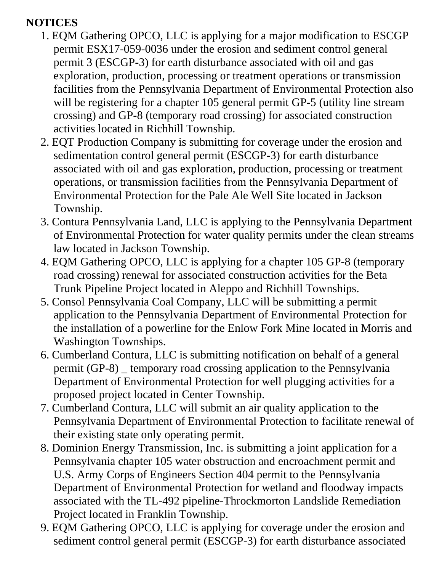### **NOTICES**

- 1. EQM Gathering OPCO, LLC is applying for a major modification to ESCGP permit ESX17-059-0036 under the erosion and sediment control general permit 3 (ESCGP-3) for earth disturbance associated with oil and gas exploration, production, processing or treatment operations or transmission facilities from the Pennsylvania Department of Environmental Protection also will be registering for a chapter 105 general permit GP-5 (utility line stream crossing) and GP-8 (temporary road crossing) for associated construction activities located in Richhill Township.
- 2. EQT Production Company is submitting for coverage under the erosion and sedimentation control general permit (ESCGP-3) for earth disturbance associated with oil and gas exploration, production, processing or treatment operations, or transmission facilities from the Pennsylvania Department of Environmental Protection for the Pale Ale Well Site located in Jackson Township.
- 3. Contura Pennsylvania Land, LLC is applying to the Pennsylvania Department of Environmental Protection for water quality permits under the clean streams law located in Jackson Township.
- 4. EQM Gathering OPCO, LLC is applying for a chapter 105 GP-8 (temporary road crossing) renewal for associated construction activities for the Beta Trunk Pipeline Project located in Aleppo and Richhill Townships.
- 5. Consol Pennsylvania Coal Company, LLC will be submitting a permit application to the Pennsylvania Department of Environmental Protection for the installation of a powerline for the Enlow Fork Mine located in Morris and Washington Townships.
- 6. Cumberland Contura, LLC is submitting notification on behalf of a general permit (GP-8) \_ temporary road crossing application to the Pennsylvania Department of Environmental Protection for well plugging activities for a proposed project located in Center Township.
- 7. Cumberland Contura, LLC will submit an air quality application to the Pennsylvania Department of Environmental Protection to facilitate renewal of their existing state only operating permit.
- 8. Dominion Energy Transmission, Inc. is submitting a joint application for a Pennsylvania chapter 105 water obstruction and encroachment permit and U.S. Army Corps of Engineers Section 404 permit to the Pennsylvania Department of Environmental Protection for wetland and floodway impacts associated with the TL-492 pipeline-Throckmorton Landslide Remediation Project located in Franklin Township.
- 9. EQM Gathering OPCO, LLC is applying for coverage under the erosion and sediment control general permit (ESCGP-3) for earth disturbance associated